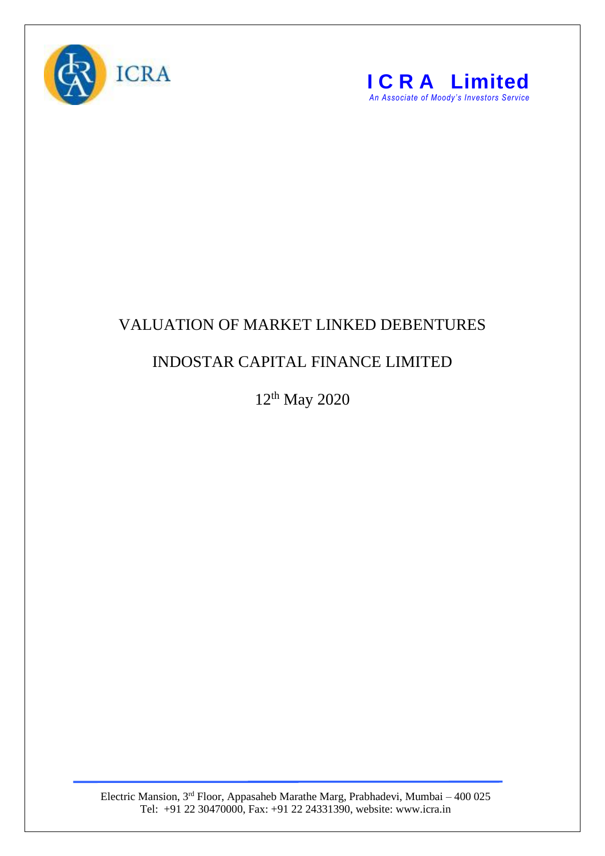



## VALUATION OF MARKET LINKED DEBENTURES

## INDOSTAR CAPITAL FINANCE LIMITED

12th May 2020

Electric Mansion, 3<sup>rd</sup> Floor, Appasaheb Marathe Marg, Prabhadevi, Mumbai – 400 025 Tel: +91 22 30470000, Fax: +91 22 24331390, website: www.icra.in